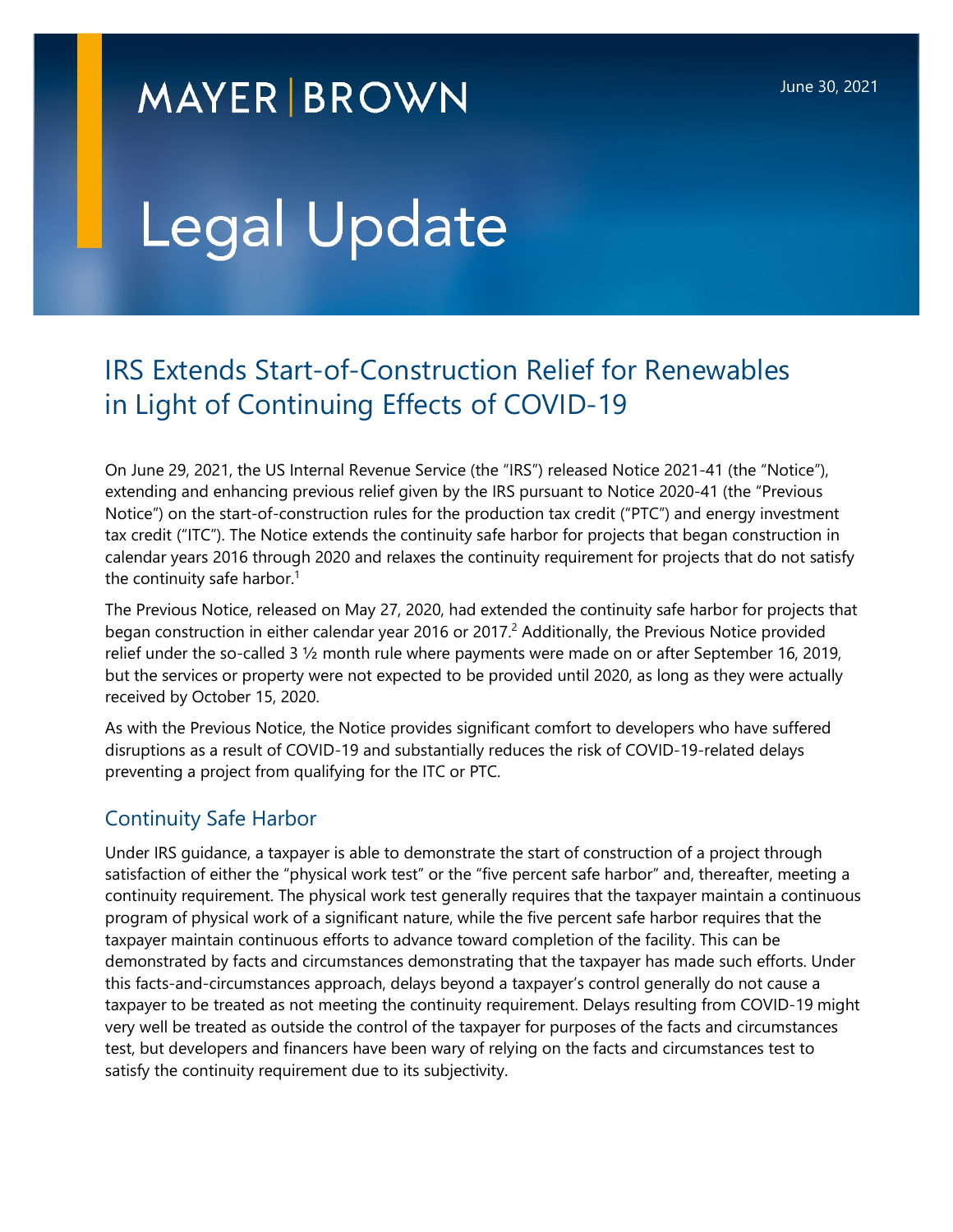## **MAYER BROWN**

# Legal Update

### IRS Extends Start-of-Construction Relief for Renewables in Light of Continuing Effects of COVID-19

On June 29, 2021, the US Internal Revenue Service (the "IRS") released Notice 2021-41 (the "Notice"), extending and enhancing previous relief given by the IRS pursuant to Notice 2020-41 (the "Previous Notice") on the start-of-construction rules for the production tax credit ("PTC") and energy investment tax credit ("ITC"). The Notice extends the continuity safe harbor for projects that began construction in calendar years 2016 through 2020 and relaxes the continuity requirement for projects that do not satisfy the continuity safe harbor.<sup>[1](#page-2-0)</sup>

The Previous Notice, released on May 27, 2020, had extended the continuity safe harbor for projects that began construction in either calendar year [2](#page-2-1)016 or 2017.<sup>2</sup> Additionally, the Previous Notice provided relief under the so-called 3 ½ month rule where payments were made on or after September 16, 2019, but the services or property were not expected to be provided until 2020, as long as they were actually received by October 15, 2020.

As with the Previous Notice, the Notice provides significant comfort to developers who have suffered disruptions as a result of COVID-19 and substantially reduces the risk of COVID-19-related delays preventing a project from qualifying for the ITC or PTC.

#### Continuity Safe Harbor

Under IRS guidance, a taxpayer is able to demonstrate the start of construction of a project through satisfaction of either the "physical work test" or the "five percent safe harbor" and, thereafter, meeting a continuity requirement. The physical work test generally requires that the taxpayer maintain a continuous program of physical work of a significant nature, while the five percent safe harbor requires that the taxpayer maintain continuous efforts to advance toward completion of the facility. This can be demonstrated by facts and circumstances demonstrating that the taxpayer has made such efforts. Under this facts-and-circumstances approach, delays beyond a taxpayer's control generally do not cause a taxpayer to be treated as not meeting the continuity requirement. Delays resulting from COVID-19 might very well be treated as outside the control of the taxpayer for purposes of the facts and circumstances test, but developers and financers have been wary of relying on the facts and circumstances test to satisfy the continuity requirement due to its subjectivity.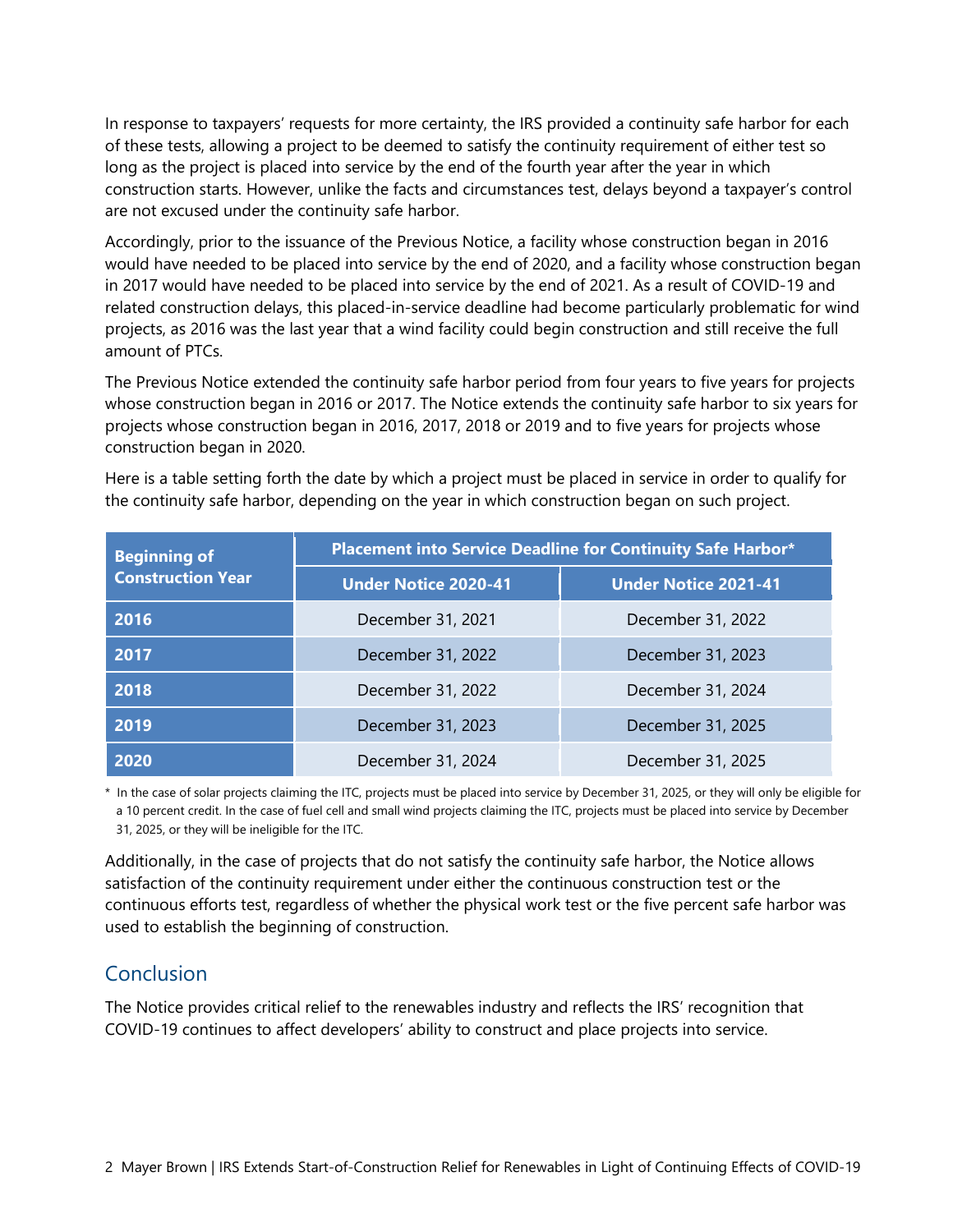In response to taxpayers' requests for more certainty, the IRS provided a continuity safe harbor for each of these tests, allowing a project to be deemed to satisfy the continuity requirement of either test so long as the project is placed into service by the end of the fourth year after the year in which construction starts. However, unlike the facts and circumstances test, delays beyond a taxpayer's control are not excused under the continuity safe harbor.

Accordingly, prior to the issuance of the Previous Notice, a facility whose construction began in 2016 would have needed to be placed into service by the end of 2020, and a facility whose construction began in 2017 would have needed to be placed into service by the end of 2021. As a result of COVID-19 and related construction delays, this placed-in-service deadline had become particularly problematic for wind projects, as 2016 was the last year that a wind facility could begin construction and still receive the full amount of PTCs.

The Previous Notice extended the continuity safe harbor period from four years to five years for projects whose construction began in 2016 or 2017. The Notice extends the continuity safe harbor to six years for projects whose construction began in 2016, 2017, 2018 or 2019 and to five years for projects whose construction began in 2020.

Here is a table setting forth the date by which a project must be placed in service in order to qualify for the continuity safe harbor, depending on the year in which construction began on such project.

| <b>Beginning of</b><br><b>Construction Year</b> | <b>Placement into Service Deadline for Continuity Safe Harbor*</b> |                             |
|-------------------------------------------------|--------------------------------------------------------------------|-----------------------------|
|                                                 | <b>Under Notice 2020-41</b>                                        | <b>Under Notice 2021-41</b> |
| 2016                                            | December 31, 2021                                                  | December 31, 2022           |
| 2017                                            | December 31, 2022                                                  | December 31, 2023           |
| 2018                                            | December 31, 2022                                                  | December 31, 2024           |
| 2019                                            | December 31, 2023                                                  | December 31, 2025           |
| 2020                                            | December 31, 2024                                                  | December 31, 2025           |

\* In the case of solar projects claiming the ITC, projects must be placed into service by December 31, 2025, or they will only be eligible for a 10 percent credit. In the case of fuel cell and small wind projects claiming the ITC, projects must be placed into service by December 31, 2025, or they will be ineligible for the ITC.

Additionally, in the case of projects that do not satisfy the continuity safe harbor, the Notice allows satisfaction of the continuity requirement under either the continuous construction test or the continuous efforts test, regardless of whether the physical work test or the five percent safe harbor was used to establish the beginning of construction.

#### **Conclusion**

The Notice provides critical relief to the renewables industry and reflects the IRS' recognition that COVID-19 continues to affect developers' ability to construct and place projects into service.